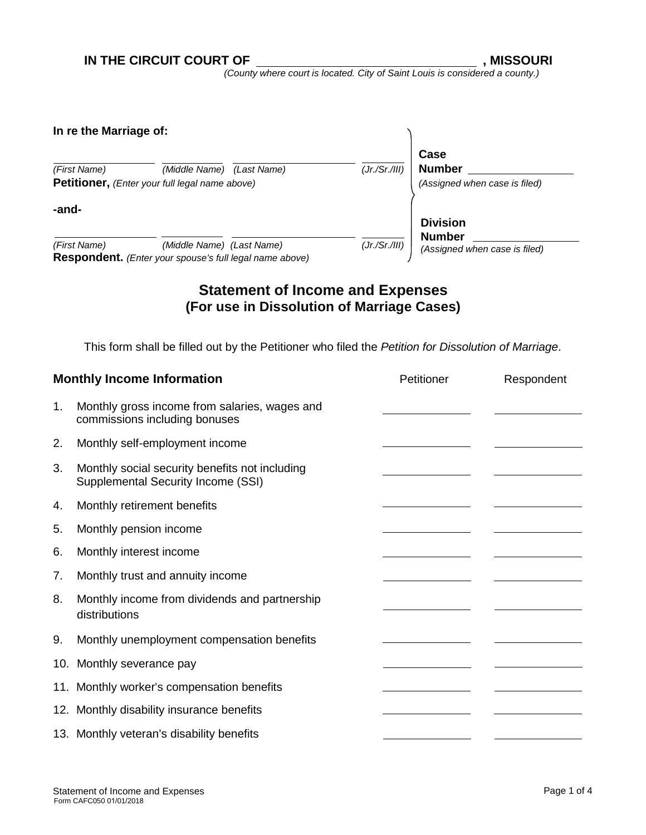*(County where court is located. City of Saint Louis is considered a county.)*

| In re the Marriage of: |                                                                                             |               |                                                        |
|------------------------|---------------------------------------------------------------------------------------------|---------------|--------------------------------------------------------|
| (First Name)           | (Middle Name)<br>(Last Name)<br>Petitioner, (Enter your full legal name above)              | (Jr./Sr./III) | Case<br><b>Number</b><br>(Assigned when case is filed) |
|                        |                                                                                             |               |                                                        |
| -and-                  |                                                                                             |               | <b>Division</b><br><b>Number</b>                       |
| (First Name)           | (Middle Name) (Last Name)<br><b>Respondent.</b> (Enter your spouse's full legal name above) | (Jr./Sr./III) | (Assigned when case is filed)                          |

## **Statement of Income and Expenses (For use in Dissolution of Marriage Cases)**

This form shall be filled out by the Petitioner who filed the *Petition for Dissolution of Marriage*.

| <b>Monthly Income Information</b> |                                                                                      | Petitioner | Respondent |
|-----------------------------------|--------------------------------------------------------------------------------------|------------|------------|
| 1.                                | Monthly gross income from salaries, wages and<br>commissions including bonuses       |            |            |
| 2.                                | Monthly self-employment income                                                       |            |            |
| 3.                                | Monthly social security benefits not including<br>Supplemental Security Income (SSI) |            |            |
| 4.                                | Monthly retirement benefits                                                          |            |            |
| 5.                                | Monthly pension income                                                               |            |            |
| 6.                                | Monthly interest income                                                              |            |            |
| 7.                                | Monthly trust and annuity income                                                     |            |            |
| 8.                                | Monthly income from dividends and partnership<br>distributions                       |            |            |
| 9.                                | Monthly unemployment compensation benefits                                           |            |            |
|                                   | 10. Monthly severance pay                                                            |            |            |
|                                   | 11. Monthly worker's compensation benefits                                           |            |            |
|                                   | 12. Monthly disability insurance benefits                                            |            |            |
|                                   | 13. Monthly veteran's disability benefits                                            |            |            |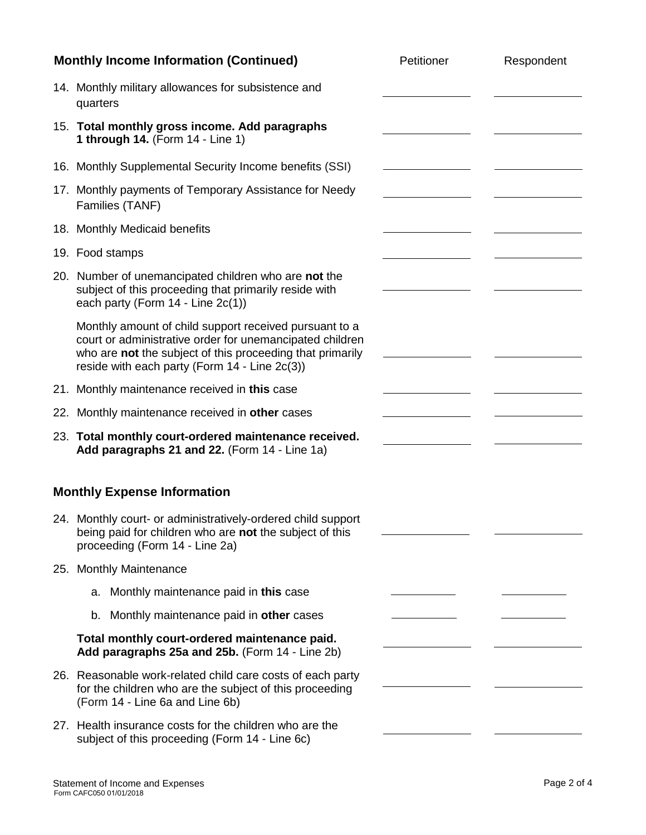| <b>Monthly Income Information (Continued)</b> |                                                                                                                                                                                                                                  | Petitioner | Respondent |
|-----------------------------------------------|----------------------------------------------------------------------------------------------------------------------------------------------------------------------------------------------------------------------------------|------------|------------|
|                                               | 14. Monthly military allowances for subsistence and<br>quarters                                                                                                                                                                  |            |            |
|                                               | 15. Total monthly gross income. Add paragraphs<br>1 through 14. (Form 14 - Line 1)                                                                                                                                               |            |            |
|                                               | 16. Monthly Supplemental Security Income benefits (SSI)                                                                                                                                                                          |            |            |
|                                               | 17. Monthly payments of Temporary Assistance for Needy<br>Families (TANF)                                                                                                                                                        |            |            |
|                                               | 18. Monthly Medicaid benefits                                                                                                                                                                                                    |            |            |
|                                               | 19. Food stamps                                                                                                                                                                                                                  |            |            |
|                                               | 20. Number of unemancipated children who are not the<br>subject of this proceeding that primarily reside with<br>each party (Form $14 -$ Line $2c(1)$ )                                                                          |            |            |
|                                               | Monthly amount of child support received pursuant to a<br>court or administrative order for unemancipated children<br>who are not the subject of this proceeding that primarily<br>reside with each party (Form 14 - Line 2c(3)) |            |            |
|                                               | 21. Monthly maintenance received in this case                                                                                                                                                                                    |            |            |
|                                               | 22. Monthly maintenance received in other cases                                                                                                                                                                                  |            |            |
|                                               | 23. Total monthly court-ordered maintenance received.<br>Add paragraphs 21 and 22. (Form 14 - Line 1a)                                                                                                                           |            |            |
|                                               | <b>Monthly Expense Information</b>                                                                                                                                                                                               |            |            |
|                                               | 24. Monthly court- or administratively-ordered child support<br>being paid for children who are not the subject of this<br>proceeding (Form 14 - Line 2a)                                                                        |            |            |
|                                               | 25. Monthly Maintenance                                                                                                                                                                                                          |            |            |
|                                               | a. Monthly maintenance paid in this case                                                                                                                                                                                         |            |            |
|                                               | Monthly maintenance paid in other cases<br>b.                                                                                                                                                                                    |            |            |
|                                               | Total monthly court-ordered maintenance paid.<br>Add paragraphs 25a and 25b. (Form 14 - Line 2b)                                                                                                                                 |            |            |
|                                               | 26. Reasonable work-related child care costs of each party<br>for the children who are the subject of this proceeding<br>(Form 14 - Line 6a and Line 6b)                                                                         |            |            |
|                                               | 27. Health insurance costs for the children who are the<br>subject of this proceeding (Form 14 - Line 6c)                                                                                                                        |            |            |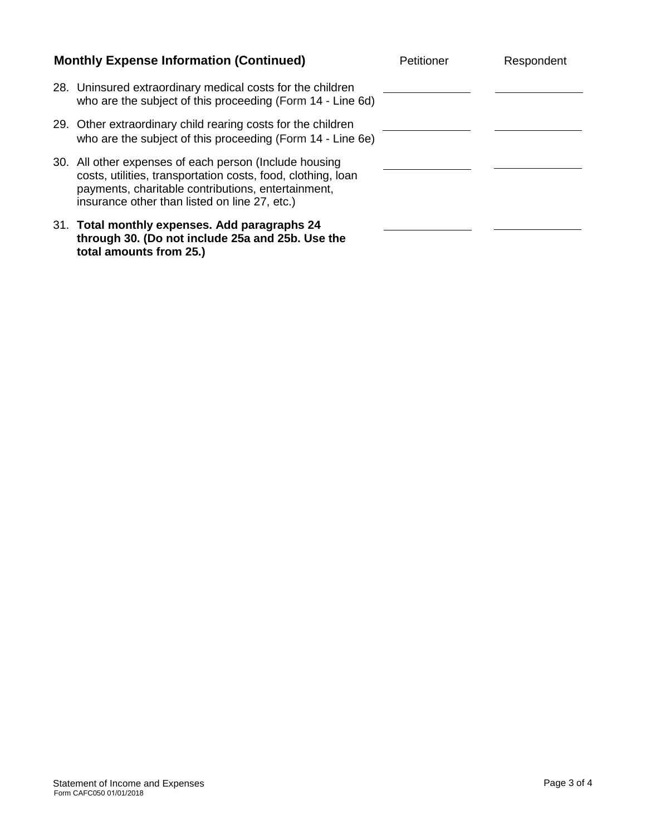| <b>Monthly Expense Information (Continued)</b> |                                                                                                                                                                                                                               | Petitioner | Respondent |
|------------------------------------------------|-------------------------------------------------------------------------------------------------------------------------------------------------------------------------------------------------------------------------------|------------|------------|
|                                                | 28. Uninsured extraordinary medical costs for the children<br>who are the subject of this proceeding (Form 14 - Line 6d)                                                                                                      |            |            |
|                                                | 29. Other extraordinary child rearing costs for the children<br>who are the subject of this proceeding (Form 14 - Line 6e)                                                                                                    |            |            |
|                                                | 30. All other expenses of each person (Include housing<br>costs, utilities, transportation costs, food, clothing, loan<br>payments, charitable contributions, entertainment,<br>insurance other than listed on line 27, etc.) |            |            |
|                                                | 31. Total monthly expenses. Add paragraphs 24<br>through 30. (Do not include 25a and 25b. Use the<br>total amounts from 25.)                                                                                                  |            |            |